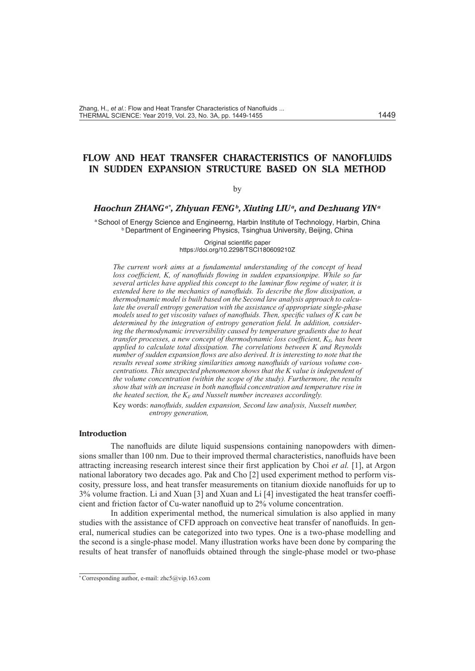# **FLOW AND HEAT TRANSFER CHARACTERISTICS OF NANOFLUIDS IN SUDDEN EXPANSION STRUCTURE BASED ON SLA METHOD**

### by

# *Haochun ZHANGa\* , Zhiyuan FENGb, Xiuting LIUa, and Dezhuang YINa*

a School of Energy Science and Engineerng, Harbin Institute of Technology, Harbin, China **b Department of Engineering Physics, Tsinghua University, Beijing, China** 

> Original scientific paper https://doi.org/10.2298/TSCI180609210Z

*The current work aims at a fundamental understanding of the concept of head loss coefficient, K, of nanofluids flowing in sudden expansionpipe. While so far several articles have applied this concept to the laminar flow regime of water, it is*  extended here to the mechanics of nanofluids. To describe the flow dissipation, a *thermodynamic model is built based on the Second law analysis approach to calculate the overall entropy generation with the assistance of appropriate single-phase models used to get viscosity values of nanofluids. Then, specific values of K can be determined by the integration of entropy generation field. In addition, considering the thermodynamic irreversibility caused by temperature gradients due to heat transfer processes, a new concept of thermodynamic loss coefficient,*  $K_E$ *, has been applied to calculate total dissipation. The correlations between K and Reynolds number of sudden expansion flows are also derived. It is interesting to note that the results reveal some striking similarities among nanofluids of various volume concentrations. This unexpected phenomenon shows that the K value is independent of the volume concentration (within the scope of the study). Furthermore, the results show that with an increase in both nanofluid concentration and temperature rise in the heated section, the KE and Nusselt number increases accordingly.*

Key words: *nanofluids, sudden expansion, Second law analysis, Nusselt number, entropy generation,*

# **Introduction**

The nanofluids are dilute liquid suspensions containing nanopowders with dimensions smaller than 100 nm. Due to their improved thermal characteristics, nanofluids have been attracting increasing research interest since their first application by Choi *et al.* [1], at Argon national laboratory two decades ago. Pak and Cho [2] used experiment method to perform viscosity, pressure loss, and heat transfer measurements on titanium dioxide nanofluids for up to 3% volume fraction. Li and Xuan [3] and Xuan and Li [4] investigated the heat transfer coefficient and friction factor of Cu-water nanofluid up to 2% volume concentration.

In addition experimental method, the numerical simulation is also applied in many studies with the assistance of CFD approach on convective heat transfer of nanofluids. In general, numerical studies can be categorized into two types. One is a two-phase modelling and the second is a single-phase model. Many illustration works have been done by comparing the results of heat transfer of nanofluids obtained through the single-phase model or two-phase

<sup>\*</sup> Corresponding author, e-mail: zhc5@vip.163.com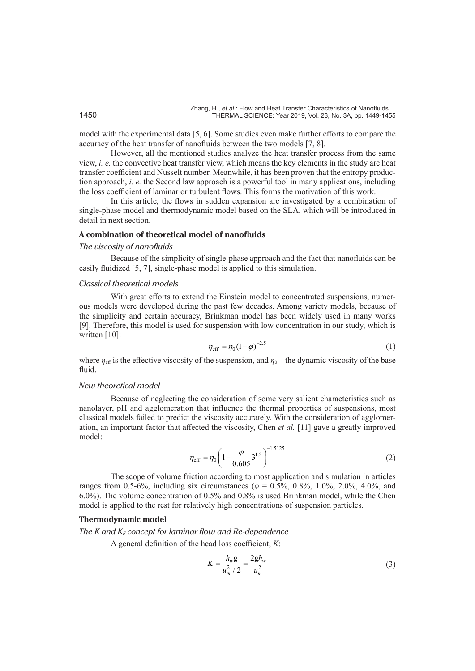model with the experimental data [5, 6]. Some studies even make further efforts to compare the accuracy of the heat transfer of nanofluids between the two models [7, 8].

However, all the mentioned studies analyze the heat transfer process from the same view, *i. e.* the convective heat transfer view, which means the key elements in the study are heat transfer coefficient and Nusselt number. Meanwhile, it has been proven that the entropy production approach, *i. e.* the Second law approach is a powerful tool in many applications, including the loss coefficient of laminar or turbulent flows. This forms the motivation of this work.

In this article, the flows in sudden expansion are investigated by a combination of single-phase model and thermodynamic model based on the SLA, which will be introduced in detail in next section.

#### **A combination of theoretical model of nanofluids**

#### *The viscosity of nanofluids*

Because of the simplicity of single-phase approach and the fact that nanofluids can be easily fluidized [5, 7], single-phase model is applied to this simulation.

#### *Classical theoretical models*

With great efforts to extend the Einstein model to concentrated suspensions, numerous models were developed during the past few decades. Among variety models, because of the simplicity and certain accuracy, Brinkman model has been widely used in many works [9]. Therefore, this model is used for suspension with low concentration in our study, which is written [10]:

$$
\eta_{\rm eff} = \eta_0 (1 - \varphi)^{-2.5}
$$
 (1)

where  $\eta_{\text{eff}}$  is the effective viscosity of the suspension, and  $\eta_0$  – the dynamic viscosity of the base fluid.

#### *New theoretical model*

Because of neglecting the consideration of some very salient characteristics such as nanolayer, pH and agglomeration that influence the thermal properties of suspensions, most classical models failed to predict the viscosity accurately. With the consideration of agglomeration, an important factor that affected the viscosity, Chen *et al.* [11] gave a greatly improved model:

$$
\eta_{\rm eff} = \eta_0 \left( 1 - \frac{\varphi}{0.605} 3^{1.2} \right)^{-1.5125} \tag{2}
$$

The scope of volume friction according to most application and simulation in articles ranges from 0.5-6%, including six circumstances ( $\varphi = 0.5$ %, 0.8%, 1.0%, 2.0%, 4.0%, and 6.0%). The volume concentration of 0.5% and 0.8% is used Brinkman model, while the Chen model is applied to the rest for relatively high concentrations of suspension particles.

# **Thermodynamic model**

The  $K$  and  $K_E$  concept for laminar flow and  $Re$ -dependence

A general definition of the head loss coefficient, *K*:

$$
K = \frac{h_w g}{u_m^2 / 2} = \frac{2gh_w}{u_m^2}
$$
 (3)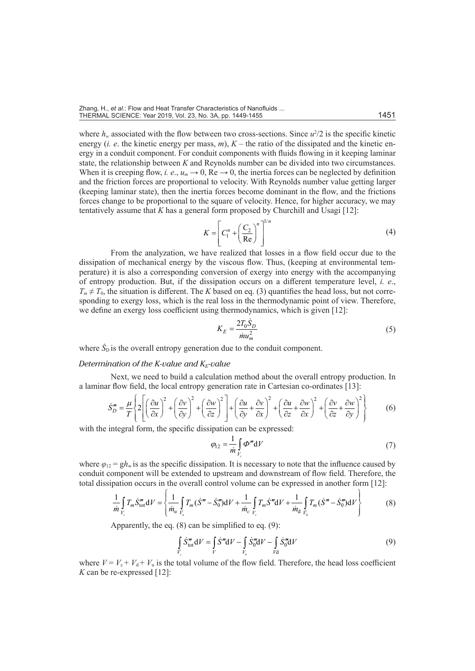where  $h_w$  associated with the flow between two cross-sections. Since  $u^2/2$  is the specific kinetic energy (*i. e.* the kinetic energy per mass,  $m$ ),  $K$  – the ratio of the dissipated and the kinetic energy in a conduit component. For conduit components with fluids flowing in it keeping laminar state, the relationship between *K* and Reynolds number can be divided into two circumstances. When it is creeping flow, *i. e.*,  $u_m \to 0$ , Re  $\to 0$ , the inertia forces can be neglected by definition and the friction forces are proportional to velocity. With Reynolds number value getting larger (keeping laminar state), then the inertia forces become dominant in the flow, and the frictions forces change to be proportional to the square of velocity. Hence, for higher accuracy, we may tentatively assume that *K* has a general form proposed by Churchill and Usagi [12]:

$$
K = \left[ C_1^n + \left( \frac{C_2}{\text{Re}} \right)^n \right]^{1/n} \tag{4}
$$

From the analyzation, we have realized that losses in a flow field occur due to the dissipation of mechanical energy by the viscous flow. Thus, (keeping at environmental temperature) it is also a corresponding conversion of exergy into energy with the accompanying of entropy production. But, if the dissipation occurs on a different temperature level, *i. e*.,  $T_m \neq T_0$ , the situation is different. The *K* based on eq. (3) quantifies the head loss, but not corresponding to exergy loss, which is the real loss in the thermodynamic point of view. Therefore, we define an exergy loss coefficient using thermodynamics, which is given [12]:

$$
K_E = \frac{2T_0 \dot{S}_D}{\dot{m} u_m^2} \tag{5}
$$

where  $\dot{S}_{\rm D}$  is the overall entropy generation due to the conduit component.

### *Determination of the K-value and*  $K_F$ *-value*

Next, we need to build a calculation method about the overall entropy production. In a laminar flow field, the local entropy generation rate in Cartesian co-ordinates [13]:

$$
\dot{S}_D''' = \frac{\mu}{T} \left\{ 2 \left[ \left( \frac{\partial u}{\partial x} \right)^2 + \left( \frac{\partial v}{\partial y} \right)^2 + \left( \frac{\partial w}{\partial z} \right)^2 \right] + \left( \frac{\partial u}{\partial y} + \frac{\partial v}{\partial x} \right)^2 + \left( \frac{\partial u}{\partial z} + \frac{\partial w}{\partial x} \right)^2 + \left( \frac{\partial v}{\partial z} + \frac{\partial w}{\partial y} \right)^2 \right\} \tag{6}
$$

with the integral form, the specific dissipation can be expressed:

$$
\varphi_{12} = \frac{1}{m} \int\limits_{V_c} \varphi^m dV \tag{7}
$$

where  $\varphi_{12} = gh_w$  is as the specific dissipation. It is necessary to note that the influence caused by conduit component will be extended to upstream and downstream of flow field. Therefore, the total dissipation occurs in the overall control volume can be expressed in another form [12]:

$$
\frac{1}{m} \int_{V_c} T_m \dot{S}_{\text{tot}}^m \, \mathrm{d}V = \left\{ \frac{1}{m_u} \int_{\tilde{V}_u} T_m (\dot{S}^m - \dot{S}_0^m) \, \mathrm{d}V + \frac{1}{m_c} \int_{V_c} T_m \dot{S}^m \, \mathrm{d}V + \frac{1}{m_d} \int_{\tilde{V}_d} T_m (\dot{S}^m - \dot{S}_0^m) \, \mathrm{d}V \right\} \tag{8}
$$

Apparently, the eq. (8) can be simplified to eq. (9):

$$
\int\limits_{\tilde{V}_c} \dot{S}_{\text{tot}}^{\prime\prime} \, \mathrm{d}V = \int\limits_V \dot{S}^{\prime\prime\prime} \mathrm{d}V - \int\limits_{V_u} \dot{S}_0^{\prime\prime\prime} \mathrm{d}V - \int\limits_{V \mathrm{d}} \dot{S}_0^{\prime\prime} \mathrm{d}V \tag{9}
$$

where  $V = V_c + V_d + V_u$  is the total volume of the flow field. Therefore, the head loss coefficient *K* can be re-expressed [12]: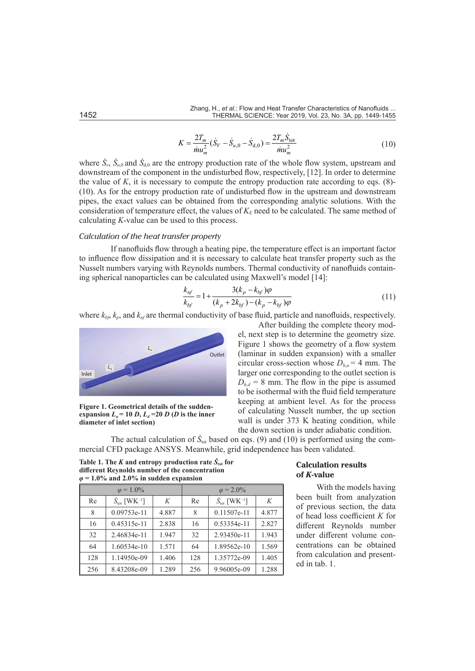$$
K = \frac{2T_m}{\dot{m}u_m^2}(\dot{S}_V - \dot{S}_{u,0} - \dot{S}_{d,0}) = \frac{2T_m\dot{S}_{\text{tot}}}{\dot{m}u_m^2}
$$
(10)

where  $\hat{S}_y$ ,  $\hat{S}_{u0}$  and  $\hat{S}_{d0}$  are the entropy production rate of the whole flow system, upstream and downstream of the component in the undisturbed flow, respectively, [12]. In order to determine the value of  $K$ , it is necessary to compute the entropy production rate according to eqs.  $(8)$ -(10). As for the entropy production rate of undisturbed flow in the upstream and downstream pipes, the exact values can be obtained from the corresponding analytic solutions. With the consideration of temperature effect, the values of  $K_E$  need to be calculated. The same method of calculating *K*-value can be used to this process.

#### *Calculation of the heat transfer property*

If nanofluids flow through a heating pipe, the temperature effect is an important factor to influence flow dissipation and it is necessary to calculate heat transfer property such as the Nusselt numbers varying with Reynolds numbers. Thermal conductivity of nanofluids containing spherical nanoparticles can be calculated using Maxwell's model [14]:

$$
\frac{k_{nf}}{k_{bf}} = 1 + \frac{3(k_p - k_{bf})\varphi}{(k_p + 2k_{bf}) - (k_p - k_{bf})\varphi}
$$
\n(11)

where  $k_{b}$ ,  $k_p$ , and  $k_{nf}$  are thermal conductivity of base fluid, particle and nanofluids, respectively.



**Figure 1. Geometrical details of the suddenexpansion**  $L_u = 10 D$ ,  $L_d = 20 D (D \text{ is the inner})$ **diameter of inlet section)**

After building the complete theory model, next step is to determine the geometry size. Figure 1 shows the geometry of a flow system (laminar in sudden expansion) with a smaller circular cross-section whose  $D_{h,\mu} = 4$  mm. The larger one corresponding to the outlet section is  $D_{hd}$  = 8 mm. The flow in the pipe is assumed to be isothermal with the fluid field temperature keeping at ambient level. As for the process of calculating Nusselt number, the up section wall is under 373 K heating condition, while the down section is under adiabatic condition.

The actual calculation of  $\dot{S}_{\text{tot}}$  based on eqs. (9) and (10) is performed using the commercial CFD package ANSYS. Meanwhile, grid independence has been validated.

**Table 1. The** *K* **and entropy production rate**  $\dot{S}_{\text{tot}}$  **for different Reynolds number of the concentration**  *φ* **= 1.0% and 2.0% in sudden expansion**

| $\varphi = 1.0\%$ |                                            |       | $\varphi = 2.0\%$ |                                            |       |
|-------------------|--------------------------------------------|-------|-------------------|--------------------------------------------|-------|
| Re                | $\dot{S}_{\text{tot}}$ [WK <sup>-1</sup> ] | K     | Re                | $\dot{S}_{\text{tot}}$ [WK <sup>-1</sup> ] | K     |
| 8                 | $0.09753e-11$                              | 4.887 | 8                 | 0.11507e-11                                | 4.877 |
| 16                | $0.45315e-11$                              | 2.838 | 16                | 0.53354e-11                                | 2.827 |
| 32                | 2.46834e-11                                | 1.947 | 32                | 2.93450e-11                                | 1.943 |
| 64                | $1.60534e-10$                              | 1.571 | 64                | 1.89562e-10                                | 1.569 |
| 128               | 1.14950e-09                                | 1.406 | 128               | 1.35772e-09                                | 1.405 |
| 256               | 8.43208e-09                                | 1.289 | 256               | 9.96005e-09                                | 1.288 |

# **Calculation results of** *K***-value**

With the models having been built from analyzation of previous section, the data of head loss coefficient *K* for different Reynolds number under different volume concentrations can be obtained from calculation and presented in tab. 1.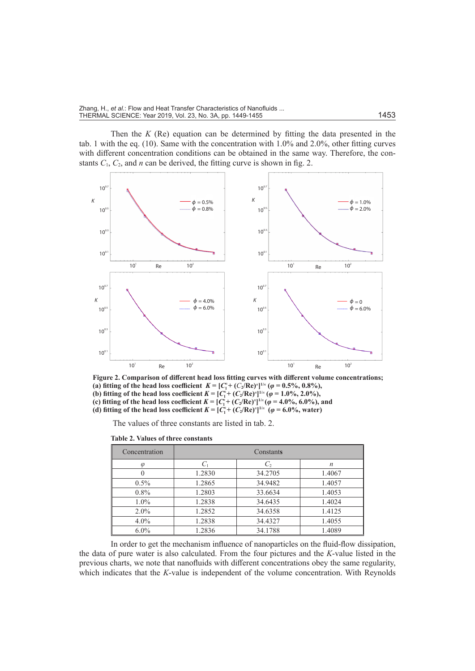Then the *K* (Re) equation can be determined by fitting the data presented in the tab. 1 with the eq. (10). Same with the concentration with 1.0% and 2.0%, other fitting curves with different concentration conditions can be obtained in the same way. Therefore, the constants  $C_1$ ,  $C_2$ , and *n* can be derived, the fitting curve is shown in fig. 2.



**Figure 2. Comparison of different head loss fitting curves with different volume concentrations; (a)** fitting of the head loss coefficient  $K = [C_1^n + (C_2^j / Re)^n]^{1/n}$  ( $\varphi = 0.5\%$ , 0.8%), **(b) fitting of the head loss coefficient**  $K = [C_1^{\pi} + (C_2/Re)^{n}]^{1/n}$  **(** $\varphi = 1.0\%$ **, 2.0%), (c) fitting of the head loss coefficient**  $K = [C_1^i + (C_2 / Re)^n]^{1/n} (\varphi = 4.0\%, 6.0\%)$ , and **(d) fitting of the head loss coefficient**  $K = [C_1^n + (C_2/Re)^n]^{1/n}$  $(\varphi = 6.0\%$ **, water)** 

The values of three constants are listed in tab. 2.

| Concentration | Constants |         |                  |  |  |
|---------------|-----------|---------|------------------|--|--|
| $\omega$      |           | $C_{2}$ | $\boldsymbol{n}$ |  |  |
|               | 1.2830    | 34.2705 | 1.4067           |  |  |
| $0.5\%$       | 1.2865    | 34.9482 | 1.4057           |  |  |
| $0.8\%$       | 1.2803    | 33.6634 | 1.4053           |  |  |
| $1.0\%$       | 1.2838    | 34.6435 | 1.4024           |  |  |
| $2.0\%$       | 1.2852    | 34.6358 | 1.4125           |  |  |
| $4.0\%$       | 1.2838    | 34.4327 | 1.4055           |  |  |
| $6.0\%$       | 1.2836    | 34.1788 | 1.4089           |  |  |

**Table 2. Values of three constants**

In order to get the mechanism influence of nanoparticles on the fluid-flow dissipation, the data of pure water is also calculated. From the four pictures and the *K*-value listed in the previous charts, we note that nanofluids with different concentrations obey the same regularity, which indicates that the *K*-value is independent of the volume concentration. With Reynolds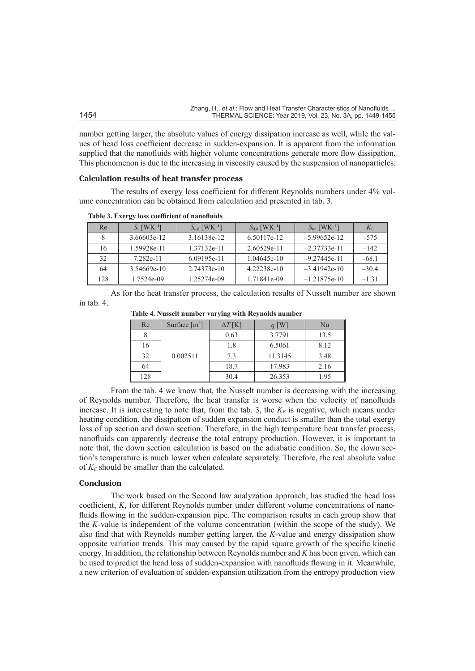|      | Zhang, H., <i>et al.</i> : Flow and Heat Transfer Characteristics of Nanofluids |
|------|---------------------------------------------------------------------------------|
| 1454 | THERMAL SCIENCE: Year 2019, Vol. 23, No. 3A, pp. 1449-1455                      |

number getting larger, the absolute values of energy dissipation increase as well, while the values of head loss coefficient decrease in sudden-expansion. It is apparent from the information supplied that the nanofluids with higher volume concentrations generate more flow dissipation. This phenomenon is due to the increasing in viscosity caused by the suspension of nanoparticles.

# **Calculation results of heat transfer process**

The results of exergy loss coefficient for different Reynolds numbers under 4% volume concentration can be obtained from calculation and presented in tab. 3.

| Re  | $S_{v}$ [WK <sup>-1</sup> ] | $S_{u,0}$ [WK <sup>-1</sup> ] | $S_{d,0}$ [WK <sup>-1</sup> ] | $S_{\text{tot}}$ [WK <sup>-1</sup> ] | $K_{\rm E}$ |
|-----|-----------------------------|-------------------------------|-------------------------------|--------------------------------------|-------------|
| 8   | 3.66603e-12                 | 3.16138e-12                   | 6.50117e-12                   | $-5.99652e-12$                       | $-575$      |
| 16  | 1.59928e-11                 | 1.37132e-11                   | 2.60529e-11                   | $-2.37733e-11$                       | $-142$      |
| 32  | 7.282e-11                   | $6.09195e-11$                 | $1.04645e-10$                 | $-9.27445e-11$                       | $-68.1$     |
| 64  | 3.54669e-10                 | 2.74373e-10                   | 4.22238e-10                   | $-3.41942e-10$                       | $-30.4$     |
| 128 | 1.7524e-09                  | 1.25274e-09                   | 1.71841e-09                   | $-1.21875e-10$                       | $-1.31$     |

**Table 3. Exergy loss coefficient of nanofluids**

As for the heat transfer process, the calculation results of Nusselt number are shown in tab. 4.

| Re  | Surface $[m^2]$ | $\Delta T$ [K] | $q$ [W] | Nu   |
|-----|-----------------|----------------|---------|------|
|     |                 | 0.63           | 3.7791  | 13.5 |
| 16  |                 | 1.8            | 6.5061  | 8.12 |
| 32  | 0.002511        | 7.3            | 11.3145 | 3.48 |
| 64  |                 | 18.7           | 17.983  | 2.16 |
| 128 |                 | 30.4           | 26.353  | 1.95 |

**Table 4. Nusselt number varying with Reynolds number**

From the tab. 4 we know that, the Nusselt number is decreasing with the increasing of Reynolds number. Therefore, the heat transfer is worse when the velocity of nanofluids increase. It is interesting to note that, from the tab. 3, the  $K<sub>E</sub>$  is negative, which means under heating condition, the dissipation of sudden expansion conduct is smaller than the total exergy loss of up section and down section. Therefore, in the high temperature heat transfer process, nanofluids can apparently decrease the total entropy production. However, it is important to note that, the down section calculation is based on the adiabatic condition. So, the down section's temperature is much lower when calculate separately. Therefore, the real absolute value of  $K_E$  should be smaller than the calculated.

#### **Conclusion**

The work based on the Second law analyzation approach, has studied the head loss coefficient, *K*, for different Reynolds number under different volume concentrations of nanofluids flowing in the sudden-expansion pipe. The comparison results in each group show that the *K*-value is independent of the volume concentration (within the scope of the study). We also find that with Reynolds number getting larger, the *K*-value and energy dissipation show opposite variation trends. This may caused by the rapid square growth of the specific kinetic energy. In addition, the relationship between Reynolds number and *K* has been given, which can be used to predict the head loss of sudden-expansion with nanofluids flowing in it. Meanwhile, a new criterion of evaluation of sudden-expansion utilization from the entropy production view